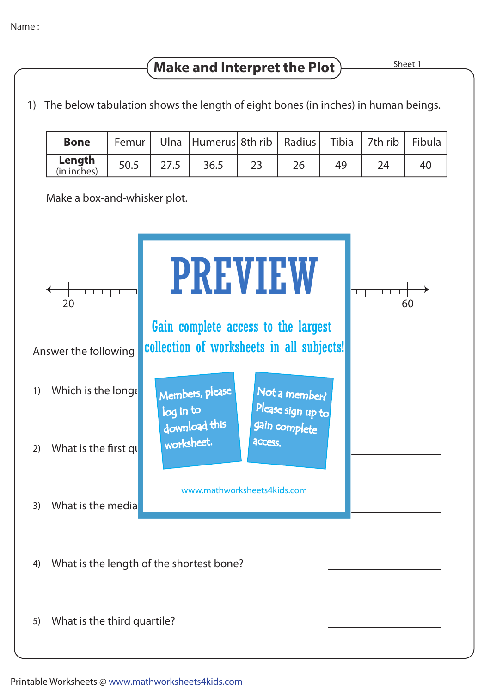## **Make and Interpret the Plot**

1) The below tabulation shows the length of eight bones (in inches) in human beings.

| <b>Bone</b>           |      | Femur   Ulna   Humerus   8th rib   Radius   Tibia   7th rib   Fibula |    |    |    |
|-----------------------|------|----------------------------------------------------------------------|----|----|----|
| Length<br>(in inches) | 50.5 | 36.5                                                                 | 26 | 49 | 40 |

Make a box-and-whisker plot.